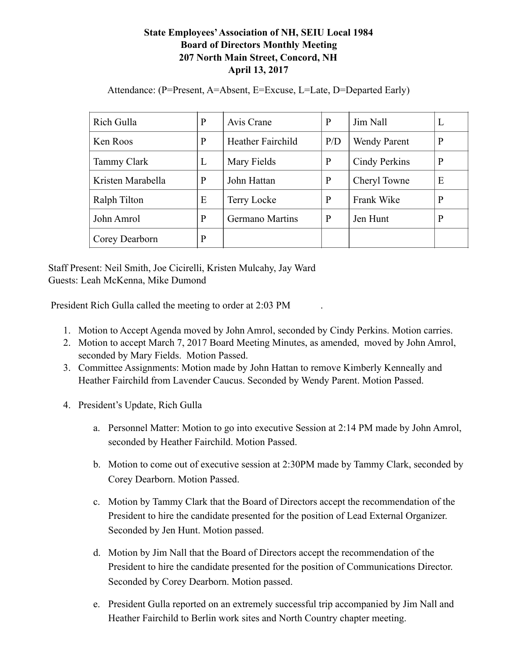## **State Employees' Association of NH, SEIU Local 1984 Board of Directors Monthly Meeting 207 North Main Street, Concord, NH April 13, 2017**

| Rich Gulla         | $\mathbf{P}$ | Avis Crane             | P            | Jim Nall            | ⊥ |
|--------------------|--------------|------------------------|--------------|---------------------|---|
| Ken Roos           | $\mathbf{P}$ | Heather Fairchild      | P/D          | <b>Wendy Parent</b> | P |
| <b>Tammy Clark</b> | L            | Mary Fields            | $\mathbf{P}$ | Cindy Perkins       | P |
| Kristen Marabella  | P            | John Hattan            | $\mathbf{P}$ | Cheryl Towne        | Е |
| Ralph Tilton       | E            | Terry Locke            | $\mathbf{P}$ | Frank Wike          | P |
| John Amrol         | P            | <b>Germano Martins</b> | P            | Jen Hunt            | P |
| Corey Dearborn     | $\mathbf{P}$ |                        |              |                     |   |

Attendance: (P=Present, A=Absent, E=Excuse, L=Late, D=Departed Early)

Staff Present: Neil Smith, Joe Cicirelli, Kristen Mulcahy, Jay Ward Guests: Leah McKenna, Mike Dumond

President Rich Gulla called the meeting to order at 2:03 PM .

- 1. Motion to Accept Agenda moved by John Amrol, seconded by Cindy Perkins. Motion carries.
- 2. Motion to accept March 7, 2017 Board Meeting Minutes, as amended, moved by John Amrol, seconded by Mary Fields. Motion Passed.
- 3. Committee Assignments: Motion made by John Hattan to remove Kimberly Kenneally and Heather Fairchild from Lavender Caucus. Seconded by Wendy Parent. Motion Passed.
- 4. President's Update, Rich Gulla
	- a. Personnel Matter: Motion to go into executive Session at 2:14 PM made by John Amrol, seconded by Heather Fairchild. Motion Passed.
	- b. Motion to come out of executive session at 2:30PM made by Tammy Clark, seconded by Corey Dearborn. Motion Passed.
	- c. Motion by Tammy Clark that the Board of Directors accept the recommendation of the President to hire the candidate presented for the position of Lead External Organizer. Seconded by Jen Hunt. Motion passed.
	- d. Motion by Jim Nall that the Board of Directors accept the recommendation of the President to hire the candidate presented for the position of Communications Director. Seconded by Corey Dearborn. Motion passed.
	- e. President Gulla reported on an extremely successful trip accompanied by Jim Nall and Heather Fairchild to Berlin work sites and North Country chapter meeting.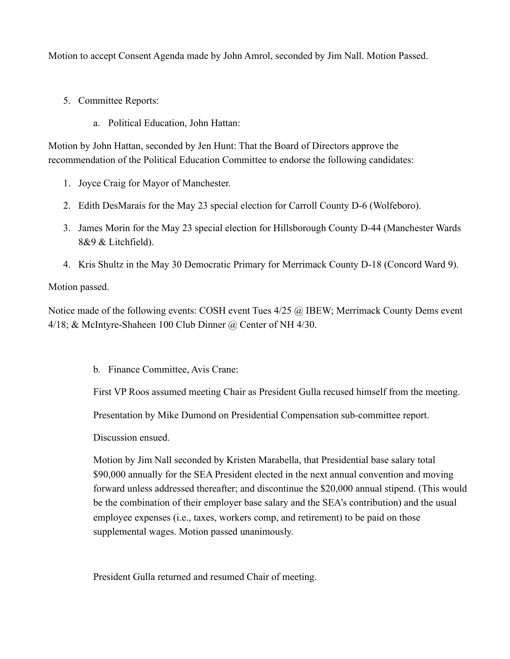Motion to accept Consent Agenda made by John Amrol, seconded by Jim Nall. Motion Passed.

- 5. Committee Reports:
	- a. Political Education, John Hattan:

Motion by John Hattan, seconded by Jen Hunt: That the Board of Directors approve the recommendation of the Political Education Committee to endorse the following candidates:

- 1. Joyce Craig for Mayor of Manchester.
- 2. Edith DesMarais for the May 23 special election for Carroll County D-6 (Wolfeboro).
- 3. James Morin for the May 23 special election for Hillsborough County D-44 (Manchester Wards 8&9 & Litchfield).
- 4. Kris Shultz in the May 30 Democratic Primary for Merrimack County D-18 (Concord Ward 9).

Motion passed.

Notice made of the following events: COSH event Tues 4/25 @ IBEW; Merrimack County Dems event 4/18; & McIntyre-Shaheen 100 Club Dinner @ Center of NH 4/30.

b. Finance Committee, Avis Crane:

First VP Roos assumed meeting Chair as President Gulla recused himself from the meeting.

Presentation by Mike Dumond on Presidential Compensation sub-committee report.

Discussion ensued.

Motion by Jim Nall seconded by Kristen Marabella, that Presidential base salary total \$90,000 annually for the SEA President elected in the next annual convention and moving forward unless addressed thereafter; and discontinue the \$20,000 annual stipend. (This would be the combination of their employer base salary and the SEA's contribution) and the usual employee expenses (i.e., taxes, workers comp, and retirement) to be paid on those supplemental wages. Motion passed unanimously.

President Gulla returned and resumed Chair of meeting.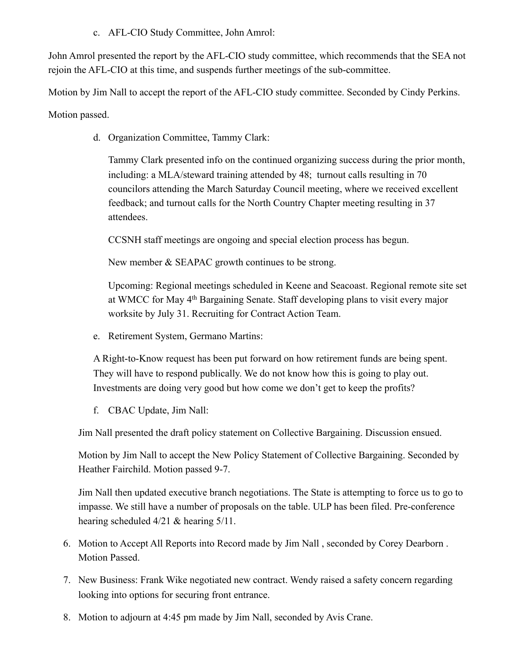c. AFL-CIO Study Committee, John Amrol:

John Amrol presented the report by the AFL-CIO study committee, which recommends that the SEA not rejoin the AFL-CIO at this time, and suspends further meetings of the sub-committee.

Motion by Jim Nall to accept the report of the AFL-CIO study committee. Seconded by Cindy Perkins. Motion passed.

d. Organization Committee, Tammy Clark:

Tammy Clark presented info on the continued organizing success during the prior month, including: a MLA/steward training attended by 48; turnout calls resulting in 70 councilors attending the March Saturday Council meeting, where we received excellent feedback; and turnout calls for the North Country Chapter meeting resulting in 37 attendees.

CCSNH staff meetings are ongoing and special election process has begun.

New member & SEAPAC growth continues to be strong.

Upcoming: Regional meetings scheduled in Keene and Seacoast. Regional remote site set at WMCC for May 4th Bargaining Senate. Staff developing plans to visit every major worksite by July 31. Recruiting for Contract Action Team.

e. Retirement System, Germano Martins:

A Right-to-Know request has been put forward on how retirement funds are being spent. They will have to respond publically. We do not know how this is going to play out. Investments are doing very good but how come we don't get to keep the profits?

f. CBAC Update, Jim Nall:

Jim Nall presented the draft policy statement on Collective Bargaining. Discussion ensued.

Motion by Jim Nall to accept the New Policy Statement of Collective Bargaining. Seconded by Heather Fairchild. Motion passed 9-7.

Jim Nall then updated executive branch negotiations. The State is attempting to force us to go to impasse. We still have a number of proposals on the table. ULP has been filed. Pre-conference hearing scheduled 4/21 & hearing 5/11.

- 6. Motion to Accept All Reports into Record made by Jim Nall , seconded by Corey Dearborn . Motion Passed.
- 7. New Business: Frank Wike negotiated new contract. Wendy raised a safety concern regarding looking into options for securing front entrance.
- 8. Motion to adjourn at 4:45 pm made by Jim Nall, seconded by Avis Crane.